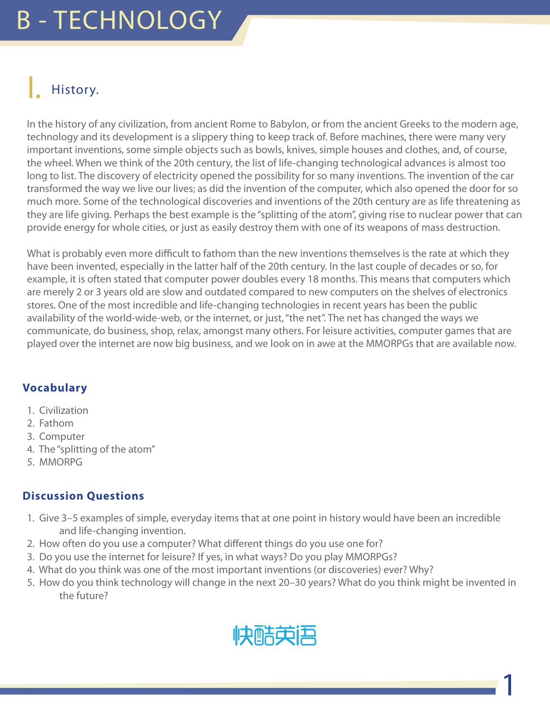### History.

In the history of any civilization, from ancient Rome to Babylon, or from the ancient Greeks to the modern age, technology and its development is a slippery thing to keep track of. Before machines, there were many very important inventions, some simple objects such as bowls, knives, simple houses and clothes, and, of course, the wheel. When we think of the 20th century, the list of life-changing technological advances is almost too long to list. The discovery of electricity opened the possibility for so many inventions. The invention of the car transformed the way we live our lives; as did the invention of the computer, which also opened the door for so much more. Some of the technological discoveries and inventions of the 20th century are as life threatening as they are life giving. Perhaps the best example is the "splitting of the atom", giving rise to nuclear power that can provide energy for whole cities, or just as easily destroy them with one of its weapons of mass destruction.

What is probably even more difficult to fathom than the new inventions themselves is the rate at which they have been invented, especially in the latter half of the 20th century. In the last couple of decades or so, for example, it is often stated that computer power doubles every 18 months. This means that computers which are merely 2 or 3 years old are slow and outdated compared to new computers on the shelves of electronics stores. One of the most incredible and life-changing technologies in recent years has been the public availability of the world-wide-web, or the internet, or just, "the net". The net has changed the ways we communicate, do business, shop, relax, amongst many others. For leisure activities, computer games that are played over the internet are now big business, and we look on in awe at the MMORPGs that are available now.

#### **Vocabulary**

- 1. Civilization
- 2. Fathom
- 3. Computer
- 4. The "splitting of the atom"
- 5. MMORPG

#### **Discussion Questions**

- 1. Give 3–5 examples of simple, everyday items that at one point in history would have been an incredible and life-changing invention.
- 2. How often do you use a computer? What different things do you use one for?
- 3. Do you use the internet for leisure? If yes, in what ways? Do you play MMORPGs?
- 4. What do you think was one of the most important inventions (or discoveries) ever? Why?
- 5. How do you think technology will change in the next 20–30 years? What do you think might be invented in the future?



1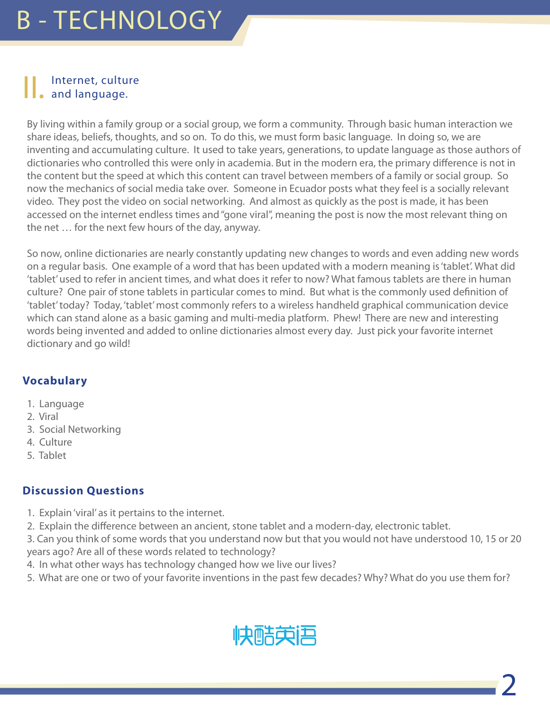#### Internet, culture and language.

By living within a family group or a social group, we form a community. Through basic human interaction we share ideas, beliefs, thoughts, and so on. To do this, we must form basic language. In doing so, we are inventing and accumulating culture. It used to take years, generations, to update language as those authors of dictionaries who controlled this were only in academia. But in the modern era, the primary difference is not in the content but the speed at which this content can travel between members of a family or social group. So now the mechanics of social media take over. Someone in Ecuador posts what they feel is a socially relevant video. They post the video on social networking. And almost as quickly as the post is made, it has been accessed on the internet endless times and "gone viral", meaning the post is now the most relevant thing on the net … for the next few hours of the day, anyway.

So now, online dictionaries are nearly constantly updating new changes to words and even adding new words on a regular basis. One example of a word that has been updated with a modern meaning is 'tablet'. What did 'tablet' used to refer in ancient times, and what does it refer to now? What famous tablets are there in human culture? One pair of stone tablets in particular comes to mind. But what is the commonly used definition of 'tablet' today? Today, 'tablet' most commonly refers to a wireless handheld graphical communication device which can stand alone as a basic gaming and multi-media platform. Phew! There are new and interesting words being invented and added to online dictionaries almost every day. Just pick your favorite internet dictionary and go wild!

#### **Vocabulary**

- 1. Language
- 2. Viral
- 3. Social Networking
- 4. Culture
- 5. Tablet

- 1. Explain 'viral' as it pertains to the internet.
- 2. Explain the difference between an ancient, stone tablet and a modern-day, electronic tablet.
- 3. Can you think of some words that you understand now but that you would not have understood 10, 15 or 20 years ago? Are all of these words related to technology?
- 4. In what other ways has technology changed how we live our lives?
- 5. What are one or two of your favorite inventions in the past few decades? Why? What do you use them for?

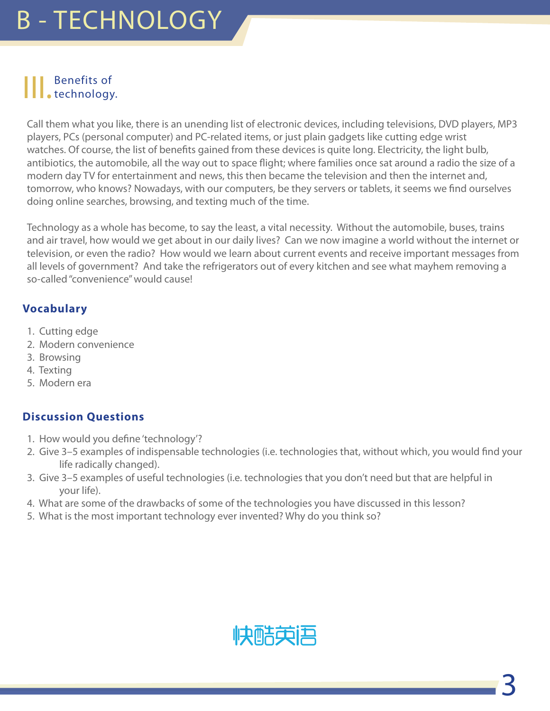# || Benefits of technology.

Call them what you like, there is an unending list of electronic devices, including televisions, DVD players, MP3 players, PCs (personal computer) and PC-related items, or just plain gadgets like cutting edge wrist watches. Of course, the list of benefits gained from these devices is quite long. Electricity, the light bulb, antibiotics, the automobile, all the way out to space flight; where families once sat around a radio the size of a modern day TV for entertainment and news, this then became the television and then the internet and, tomorrow, who knows? Nowadays, with our computers, be they servers or tablets, it seems we find ourselves doing online searches, browsing, and texting much of the time.

Technology as a whole has become, to say the least, a vital necessity. Without the automobile, buses, trains and air travel, how would we get about in our daily lives? Can we now imagine a world without the internet or television, or even the radio? How would we learn about current events and receive important messages from all levels of government? And take the refrigerators out of every kitchen and see what mayhem removing a so-called "convenience" would cause!

#### **Vocabulary**

- 1. Cutting edge
- 2. Modern convenience
- 3. Browsing
- 4. Texting
- 5. Modern era

- 1. How would you define 'technology'?
- 2. Give 3–5 examples of indispensable technologies (i.e. technologies that, without which, you would find your life radically changed).
- 3. Give 3–5 examples of useful technologies (i.e. technologies that you don't need but that are helpful in your life).
- 4. What are some of the drawbacks of some of the technologies you have discussed in this lesson?
- 5. What is the most important technology ever invented? Why do you think so?

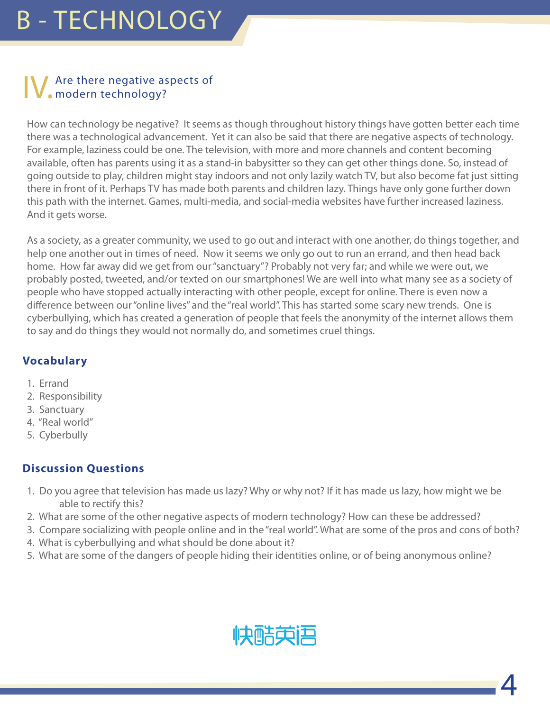# IV. Are there negative aspects of modern technology?

How can technology be negative? It seems as though throughout history things have gotten better each time there was a technological advancement. Yet it can also be said that there are negative aspects of technology. For example, laziness could be one. The television, with more and more channels and content becoming available, often has parents using it as a stand-in babysitter so they can get other things done. So, instead of going outside to play, children might stay indoors and not only lazily watch TV, but also become fat just sitting there in front of it. Perhaps TV has made both parents and children lazy. Things have only gone further down this path with the internet. Games, multi-media, and social-media websites have further increased laziness. And it gets worse.

As a society, as a greater community, we used to go out and interact with one another, do things together, and help one another out in times of need. Now it seems we only go out to run an errand, and then head back home. How far away did we get from our "sanctuary"? Probably not very far; and while we were out, we probably posted, tweeted, and/or texted on our smartphones! We are well into what many see as a society of people who have stopped actually interacting with other people, except for online. There is even now a difference between our "online lives" and the "real world". This has started some scary new trends. One is cyberbullying, which has created a generation of people that feels the anonymity of the internet allows them to say and do things they would not normally do, and sometimes cruel things.

#### **Vocabulary**

- 1. Errand
- 2. Responsibility
- 3. Sanctuary
- 4. "Real world"
- 5. Cyberbully

- 1. Do you agree that television has made us lazy? Why or why not? If it has made us lazy, how might we be able to rectify this?
- 2. What are some of the other negative aspects of modern technology? How can these be addressed?
- 3. Compare socializing with people online and in the "real world". What are some of the pros and cons of both?
- 4. What is cyberbullying and what should be done about it?
- 5. What are some of the dangers of people hiding their identities online, or of being anonymous online?